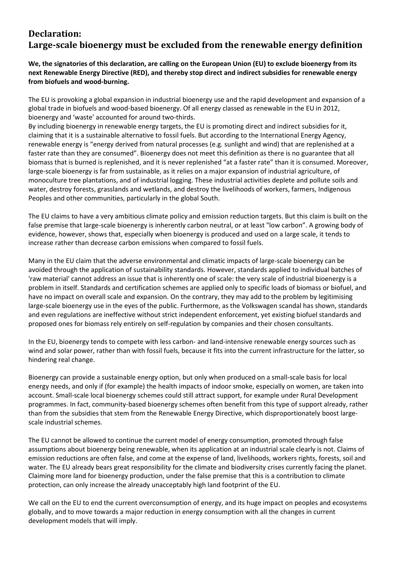# **Declaration: Large-scale bioenergy must be excluded from the renewable energy definition**

## **We, the signatories of this declaration, are calling on the European Union (EU) to exclude bioenergy from its next Renewable Energy Directive (RED), and thereby stop direct and indirect subsidies for renewable energy from biofuels and wood-burning.**

The EU is provoking a global expansion in industrial bioenergy use and the rapid development and expansion of a global trade in biofuels and wood-based bioenergy. Of all energy classed as renewable in the EU in 2012, bioenergy and 'waste' accounted for around two-thirds.

By including bioenergy in renewable energy targets, the EU is promoting direct and indirect subsidies for it, claiming that it is a sustainable alternative to fossil fuels. But according to the International Energy Agency, renewable energy is "energy derived from natural processes (e.g. sunlight and wind) that are replenished at a faster rate than they are consumed". Bioenergy does not meet this definition as there is no guarantee that all biomass that is burned is replenished, and it is never replenished "at a faster rate" than it is consumed. Moreover, large-scale bioenergy is far from sustainable, as it relies on a major expansion of industrial agriculture, of monoculture tree plantations, and of industrial logging. These industrial activities deplete and pollute soils and water, destroy forests, grasslands and wetlands, and destroy the livelihoods of workers, farmers, Indigenous Peoples and other communities, particularly in the global South.

The EU claims to have a very ambitious climate policy and emission reduction targets. But this claim is built on the false premise that large-scale bioenergy is inherently carbon neutral, or at least "low carbon". A growing body of evidence, however, shows that, especially when bioenergy is produced and used on a large scale, it tends to increase rather than decrease carbon emissions when compared to fossil fuels.

Many in the EU claim that the adverse environmental and climatic impacts of large-scale bioenergy can be avoided through the application of sustainability standards. However, standards applied to individual batches of 'raw material' cannot address an issue that is inherently one of scale: the very scale of industrial bioenergy is a problem in itself. Standards and certification schemes are applied only to specific loads of biomass or biofuel, and have no impact on overall scale and expansion. On the contrary, they may add to the problem by legitimising large-scale bioenergy use in the eyes of the public. Furthermore, as the Volkswagen scandal has shown, standards and even regulations are ineffective without strict independent enforcement, yet existing biofuel standards and proposed ones for biomass rely entirely on self-regulation by companies and their chosen consultants.

In the EU, bioenergy tends to compete with less carbon- and land-intensive renewable energy sources such as wind and solar power, rather than with fossil fuels, because it fits into the current infrastructure for the latter, so hindering real change.

Bioenergy can provide a sustainable energy option, but only when produced on a small-scale basis for local energy needs, and only if (for example) the health impacts of indoor smoke, especially on women, are taken into account. Small-scale local bioenergy schemes could still attract support, for example under Rural Development programmes. In fact, community-based bioenergy schemes often benefit from this type of support already, rather than from the subsidies that stem from the Renewable Energy Directive, which disproportionately boost largescale industrial schemes.

The EU cannot be allowed to continue the current model of energy consumption, promoted through false assumptions about bioenergy being renewable, when its application at an industrial scale clearly is not. Claims of emission reductions are often false, and come at the expense of land, livelihoods, workers rights, forests, soil and water. The EU already bears great responsibility for the climate and biodiversity crises currently facing the planet. Claiming more land for bioenergy production, under the false premise that this is a contribution to climate protection, can only increase the already unacceptably high land footprint of the EU.

We call on the EU to end the current overconsumption of energy, and its huge impact on peoples and ecosystems globally, and to move towards a major reduction in energy consumption with all the changes in current development models that will imply.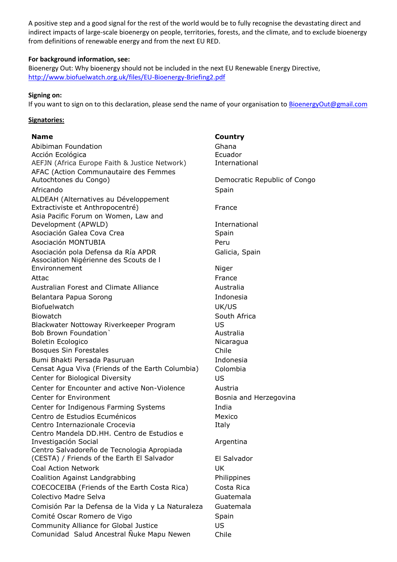A positive step and a good signal for the rest of the world would be to fully recognise the devastating direct and indirect impacts of large-scale bioenergy on people, territories, forests, and the climate, and to exclude bioenergy from definitions of renewable energy and from the next EU RED.

### **For background information, see:**

Bioenergy Out: Why bioenergy should not be included in the next EU Renewable Energy Directive, <http://www.biofuelwatch.org.uk/files/EU-Bioenergy-Briefing2.pdf>

### **Signing on:**

If you want to sign on to this declaration, please send the name of your organisation to [BioenergyOut@gmail.com](mailto:BioenergyOut@gmail.com)

### **Signatories:**

Abibiman Foundation **Ghana** Acción Ecológica **Ecuador** Ecuador AEFJN (Africa Europe Faith & Justice Network) International AFAC (Action Communautaire des Femmes Autochtones du Congo) and the Democratic Republic of Congo Africando Spain ALDEAH (Alternatives au Développement Extractiviste et Anthropocentré) en la proposition de France Asia Pacific Forum on Women, Law and Development (APWLD) and the contractional development of the contractional development of  $\Gamma$ Asociación Galea Cova Crea Nobel Espain Asociación MONTUBIA Peru Asociación pola Defensa da Ría APDR Galicia, Spain Association Nigérienne des Scouts de l Environnement Niger Attac **France** Australian Forest and Climate Alliance **Australia** Belantara Papua Sorong **Indonesia** Biofuelwatch UK/US Biowatch **South Africa** Biowatch **South Africa** Biowatch **South Africa** Blackwater Nottoway Riverkeeper Program US Bob Brown Foundation and Australia Boletin Ecologico **Nicaragua** Bosques Sin Forestales **Chile** Bumi Bhakti Persada Pasuruan Indonesia Censat Agua Viva (Friends of the Earth Columbia) Colombia Center for Biological Diversity US Center for Encounter and active Non-Violence Austria Center for Environment **Bosnia and Herzegovina** Center for Indigenous Farming Systems Thaia Centro de Estudios Ecuménicos **Mexico** Mexico Centro Internazionale Crocevia **Italy** Italy Centro Mandela DD.HH. Centro de Estudios e Investigación Social **Argentina** Centro Salvadoreño de Tecnologia Apropiada (CESTA) / Friends of the Earth El Salvador El Salvador Coal Action Network **National Action Network UK** Coalition Against Landgrabbing The Coalition Against Landgrabbing COECOCEIBA (Friends of the Earth Costa Rica) Costa Rica Colectivo Madre Selva Guatemala Comisión Par la Defensa de la Vida y La Naturaleza Guatemala Comité Oscar Romero de Vigo **Santa Santa Comité Oscar Romero de Vigo** Spain Community Alliance for Global Justice US Comunidad Salud Ancestral Ñuke Mapu Newen Chile

**Name Country**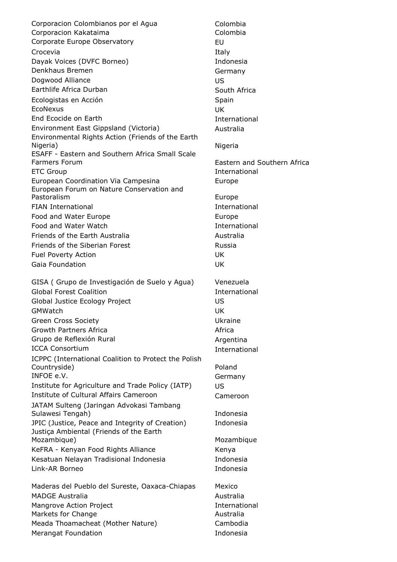Corporacion Colombianos por el Agua Colombia Corporacion Kakataima **Colombia** Colombia Corporate Europe Observatory **EU** Crocevia in the contract of the contract of the Italy Dayak Voices (DVFC Borneo) and a subset of the Indonesia Denkhaus Bremen Germany Dogwood Alliance US Earthlife Africa Durban South Africa Ecologistas en Acción **Spain** Spain EcoNexus UK End Ecocide on Earth International Environment East Gippsland (Victoria) Australia Environmental Rights Action (Friends of the Earth Nigeria) and the contract of the contract of the contract of the contract of the contract of the contract of the contract of the contract of the contract of the contract of the contract of the contract of the contract of t ESAFF - Eastern and Southern Africa Small Scale Farmers Forum Eastern and Southern Africa ETC Group and the contractional and the contractional international European Coordination Via Campesina **Europe** European Forum on Nature Conservation and Pastoralism **Europe** FIAN International and international international Food and Water Europe **Europe Europe** Europe Food and Water Watch **International** Friends of the Earth Australia **Australia** Australia Friends of the Siberian Forest **Russia** Fuel Poverty Action UK Gaia Foundation UK GISA ( Grupo de Investigación de Suelo y Agua) Venezuela Global Forest Coalition **International** International Global Justice Ecology Project **Internal Contract COS** GMWatch UK Green Cross Society **Canadian Cross Society** Change Cross Ukraine Growth Partners Africa **Africa** Africa **Africa** Africa Grupo de Reflexión Rural **Argentina** ICCA Consortium and the construction of the construction of the construction of the construction of the construction of the construction of the construction of the construction of the construction of the construction of th ICPPC (International Coalition to Protect the Polish Countryside) and the countryside of the countryside of the countryside of the countryside of the country  $P$ oland INFOE e.V. Germany Institute for Agriculture and Trade Policy (IATP) US Institute of Cultural Affairs Cameroon Cameroon JATAM Sulteng (Jaringan Advokasi Tambang Sulawesi Tengah) and a sulawesi Tengah) a sulawesi Tengah) a sulawesi a sulawesi a sulawesi a sulawesi a sulawesi a JPIC (Justice, Peace and Integrity of Creation) Indonesia Justiça Ambiental (Friends of the Earth Mozambique) Mozambique KeFRA - Kenyan Food Rights Alliance Kenya Kesatuan Nelayan Tradisional Indonesia Indonesia Link-AR Borneo Indonesia Maderas del Pueblo del Sureste, Oaxaca-Chiapas Mexico MADGE Australia and a material and a material and a material and a material and a material and a material and  $\lambda$ Mangrove Action Project **International** Markets for Change and Australia

Merangat Foundation **Indonesia** 

Meada Thoamacheat (Mother Nature) Cambodia